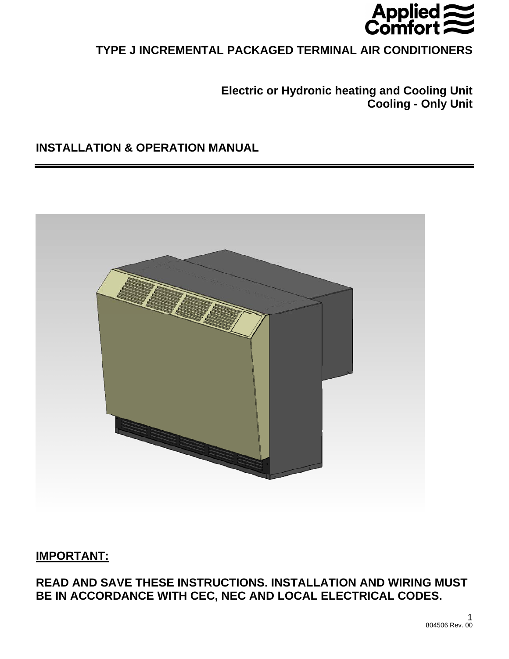

# **TYPE J INCREMENTAL PACKAGED TERMINAL AIR CONDITIONERS**

**Electric or Hydronic heating and Cooling Unit Cooling - Only Unit** 

# **INSTALLATION & OPERATION MANUAL**



# **IMPORTANT:**

**READ AND SAVE THESE INSTRUCTIONS. INSTALLATION AND WIRING MUST BE IN ACCORDANCE WITH CEC, NEC AND LOCAL ELECTRICAL CODES.**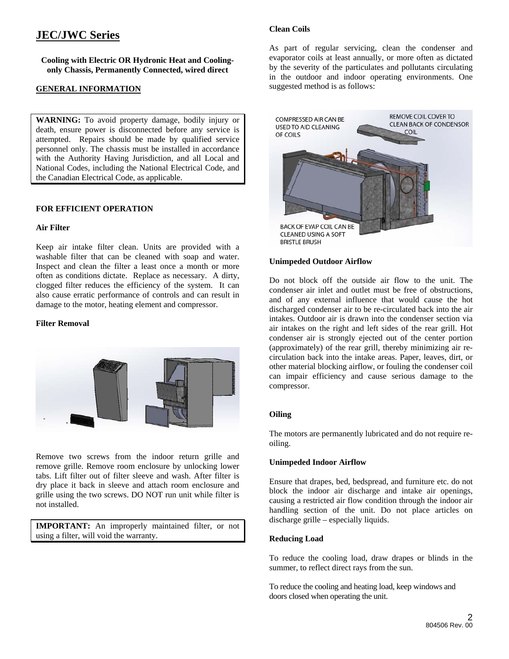# **JEC/JWC Series**

**Cooling with Electric OR Hydronic Heat and Coolingonly Chassis, Permanently Connected, wired direct** 

# **GENERAL INFORMATION**

**WARNING:** To avoid property damage, bodily injury or death, ensure power is disconnected before any service is attempted. Repairs should be made by qualified service personnel only. The chassis must be installed in accordance with the Authority Having Jurisdiction, and all Local and National Codes, including the National Electrical Code, and the Canadian Electrical Code, as applicable.

## **FOR EFFICIENT OPERATION**

#### **Air Filter**

Keep air intake filter clean. Units are provided with a washable filter that can be cleaned with soap and water. Inspect and clean the filter a least once a month or more often as conditions dictate. Replace as necessary. A dirty, clogged filter reduces the efficiency of the system. It can also cause erratic performance of controls and can result in damage to the motor, heating element and compressor.

### **Filter Removal**



Remove two screws from the indoor return grille and remove grille. Remove room enclosure by unlocking lower tabs. Lift filter out of filter sleeve and wash. After filter is dry place it back in sleeve and attach room enclosure and grille using the two screws. DO NOT run unit while filter is not installed.

**IMPORTANT:** An improperly maintained filter, or not using a filter, will void the warranty.

## **Clean Coils**

As part of regular servicing, clean the condenser and evaporator coils at least annually, or more often as dictated by the severity of the particulates and pollutants circulating in the outdoor and indoor operating environments. One suggested method is as follows:



## **Unimpeded Outdoor Airflow**

Do not block off the outside air flow to the unit. The condenser air inlet and outlet must be free of obstructions, and of any external influence that would cause the hot discharged condenser air to be re-circulated back into the air intakes. Outdoor air is drawn into the condenser section via air intakes on the right and left sides of the rear grill. Hot condenser air is strongly ejected out of the center portion (approximately) of the rear grill, thereby minimizing air recirculation back into the intake areas. Paper, leaves, dirt, or other material blocking airflow, or fouling the condenser coil can impair efficiency and cause serious damage to the compressor.

#### **Oiling**

The motors are permanently lubricated and do not require reoiling.

#### **Unimpeded Indoor Airflow**

Ensure that drapes, bed, bedspread, and furniture etc. do not block the indoor air discharge and intake air openings, causing a restricted air flow condition through the indoor air handling section of the unit. Do not place articles on discharge grille – especially liquids.

#### **Reducing Load**

To reduce the cooling load, draw drapes or blinds in the summer, to reflect direct rays from the sun.

To reduce the cooling and heating load, keep windows and doors closed when operating the unit.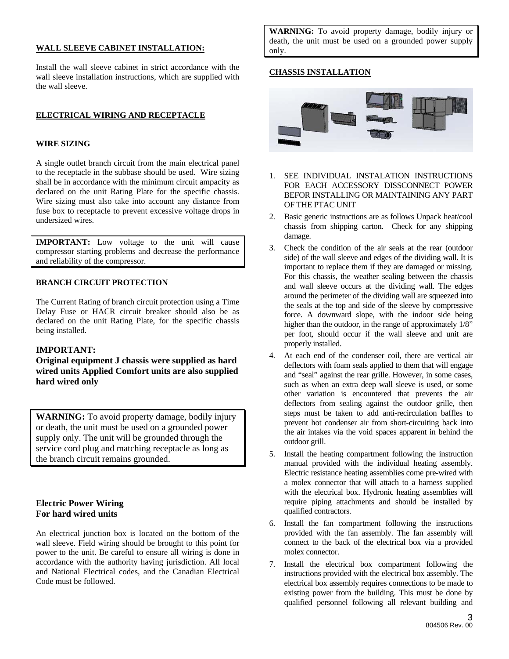## **WALL SLEEVE CABINET INSTALLATION:**

Install the wall sleeve cabinet in strict accordance with the wall sleeve installation instructions, which are supplied with the wall sleeve.

## **ELECTRICAL WIRING AND RECEPTACLE**

### **WIRE SIZING**

A single outlet branch circuit from the main electrical panel to the receptacle in the subbase should be used. Wire sizing shall be in accordance with the minimum circuit ampacity as declared on the unit Rating Plate for the specific chassis. Wire sizing must also take into account any distance from fuse box to receptacle to prevent excessive voltage drops in undersized wires.

**IMPORTANT:** Low voltage to the unit will cause compressor starting problems and decrease the performance and reliability of the compressor.

## **BRANCH CIRCUIT PROTECTION**

The Current Rating of branch circuit protection using a Time Delay Fuse or HACR circuit breaker should also be as declared on the unit Rating Plate, for the specific chassis being installed.

## **IMPORTANT:**

**Original equipment J chassis were supplied as hard wired units Applied Comfort units are also supplied hard wired only** 

**WARNING:** To avoid property damage, bodily injury or death, the unit must be used on a grounded power supply only. The unit will be grounded through the service cord plug and matching receptacle as long as the branch circuit remains grounded.

## **Electric Power Wiring For hard wired units**

An electrical junction box is located on the bottom of the wall sleeve. Field wiring should be brought to this point for power to the unit. Be careful to ensure all wiring is done in accordance with the authority having jurisdiction. All local and National Electrical codes, and the Canadian Electrical Code must be followed.

**WARNING:** To avoid property damage, bodily injury or death, the unit must be used on a grounded power supply only.

## **CHASSIS INSTALLATION**



- 1. SEE INDIVIDUAL INSTALATION INSTRUCTIONS FOR EACH ACCESSORY DISSCONNECT POWER BEFOR INSTALLING OR MAINTAINING ANY PART OF THE PTAC UNIT
- 2. Basic generic instructions are as follows Unpack heat/cool chassis from shipping carton. Check for any shipping damage.
- 3. Check the condition of the air seals at the rear (outdoor side) of the wall sleeve and edges of the dividing wall. It is important to replace them if they are damaged or missing. For this chassis, the weather sealing between the chassis and wall sleeve occurs at the dividing wall. The edges around the perimeter of the dividing wall are squeezed into the seals at the top and side of the sleeve by compressive force. A downward slope, with the indoor side being higher than the outdoor, in the range of approximately  $1/8$ " per foot, should occur if the wall sleeve and unit are properly installed.
- 4. At each end of the condenser coil, there are vertical air deflectors with foam seals applied to them that will engage and "seal" against the rear grille. However, in some cases, such as when an extra deep wall sleeve is used, or some other variation is encountered that prevents the air deflectors from sealing against the outdoor grille, then steps must be taken to add anti-recirculation baffles to prevent hot condenser air from short-circuiting back into the air intakes via the void spaces apparent in behind the outdoor grill.
- 5. Install the heating compartment following the instruction manual provided with the individual heating assembly. Electric resistance heating assemblies come pre-wired with a molex connector that will attach to a harness supplied with the electrical box. Hydronic heating assemblies will require piping attachments and should be installed by qualified contractors.
- 6. Install the fan compartment following the instructions provided with the fan assembly. The fan assembly will connect to the back of the electrical box via a provided molex connector.
- 7. Install the electrical box compartment following the instructions provided with the electrical box assembly. The electrical box assembly requires connections to be made to existing power from the building. This must be done by qualified personnel following all relevant building and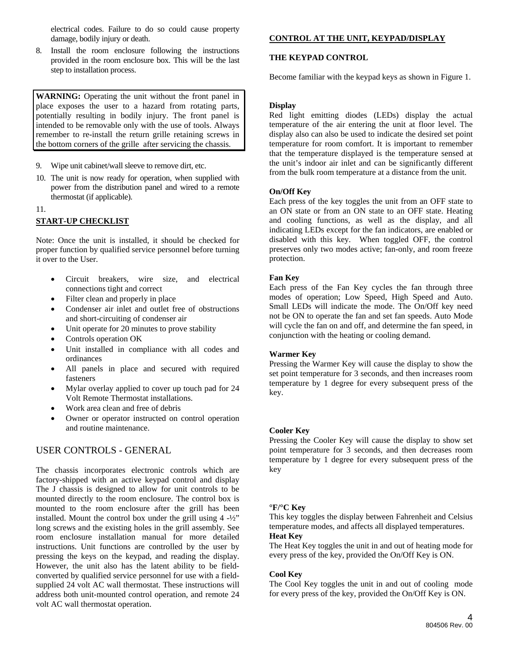electrical codes. Failure to do so could cause property damage, bodily injury or death.

8. Install the room enclosure following the instructions provided in the room enclosure box. This will be the last step to installation process.

**WARNING:** Operating the unit without the front panel in place exposes the user to a hazard from rotating parts, potentially resulting in bodily injury. The front panel is intended to be removable only with the use of tools. Always remember to re-install the return grille retaining screws in the bottom corners of the grille after servicing the chassis.

- 9. Wipe unit cabinet/wall sleeve to remove dirt, etc.
- 10. The unit is now ready for operation, when supplied with power from the distribution panel and wired to a remote thermostat (if applicable).
- 11.

# **START-UP CHECKLIST**

Note: Once the unit is installed, it should be checked for proper function by qualified service personnel before turning it over to the User.

- Circuit breakers, wire size, and electrical connections tight and correct
- Filter clean and properly in place
- Condenser air inlet and outlet free of obstructions and short-circuiting of condenser air
- Unit operate for 20 minutes to prove stability
- Controls operation OK
- Unit installed in compliance with all codes and ordinances
- All panels in place and secured with required fasteners
- Mylar overlay applied to cover up touch pad for 24 Volt Remote Thermostat installations.
- Work area clean and free of debris
- Owner or operator instructed on control operation and routine maintenance.

# USER CONTROLS - GENERAL

The chassis incorporates electronic controls which are factory-shipped with an active keypad control and display The J chassis is designed to allow for unit controls to be mounted directly to the room enclosure. The control box is mounted to the room enclosure after the grill has been installed. Mount the control box under the grill using  $4 -\frac{1}{2}$ " long screws and the existing holes in the grill assembly. See room enclosure installation manual for more detailed instructions. Unit functions are controlled by the user by pressing the keys on the keypad, and reading the display. However, the unit also has the latent ability to be fieldconverted by qualified service personnel for use with a fieldsupplied 24 volt AC wall thermostat. These instructions will address both unit-mounted control operation, and remote 24 volt AC wall thermostat operation.

# **CONTROL AT THE UNIT, KEYPAD/DISPLAY**

## **THE KEYPAD CONTROL**

Become familiar with the keypad keys as shown in Figure 1.

## **Display**

Red light emitting diodes (LEDs) display the actual temperature of the air entering the unit at floor level. The display also can also be used to indicate the desired set point temperature for room comfort. It is important to remember that the temperature displayed is the temperature sensed at the unit's indoor air inlet and can be significantly different from the bulk room temperature at a distance from the unit.

## **On/Off Key**

Each press of the key toggles the unit from an OFF state to an ON state or from an ON state to an OFF state. Heating and cooling functions, as well as the display, and all indicating LEDs except for the fan indicators, are enabled or disabled with this key. When toggled OFF, the control preserves only two modes active; fan-only, and room freeze protection.

## **Fan Key**

Each press of the Fan Key cycles the fan through three modes of operation; Low Speed, High Speed and Auto. Small LEDs will indicate the mode. The On/Off key need not be ON to operate the fan and set fan speeds. Auto Mode will cycle the fan on and off, and determine the fan speed, in conjunction with the heating or cooling demand.

## **Warmer Key**

Pressing the Warmer Key will cause the display to show the set point temperature for 3 seconds, and then increases room temperature by 1 degree for every subsequent press of the key.

## **Cooler Key**

Pressing the Cooler Key will cause the display to show set point temperature for 3 seconds, and then decreases room temperature by 1 degree for every subsequent press of the key

## **°F/°C Key**

This key toggles the display between Fahrenheit and Celsius temperature modes, and affects all displayed temperatures. **Heat Key** 

The Heat Key toggles the unit in and out of heating mode for every press of the key, provided the On/Off Key is ON.

## **Cool Key**

The Cool Key toggles the unit in and out of cooling mode for every press of the key, provided the On/Off Key is ON.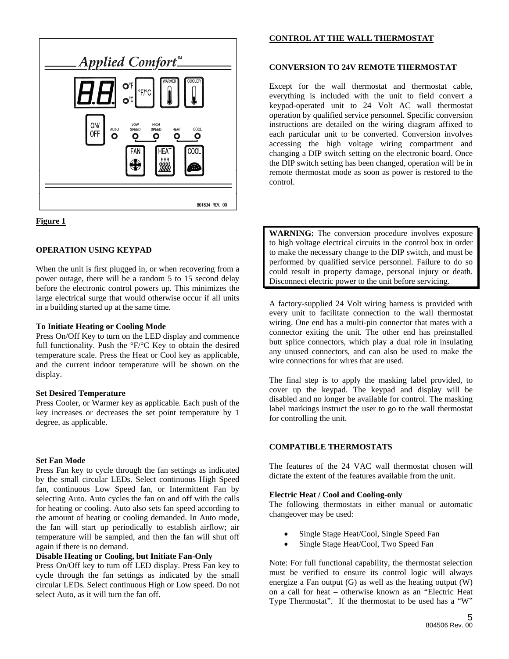



## **OPERATION USING KEYPAD**

When the unit is first plugged in, or when recovering from a power outage, there will be a random 5 to 15 second delay before the electronic control powers up. This minimizes the large electrical surge that would otherwise occur if all units in a building started up at the same time.

## **To Initiate Heating or Cooling Mode**

Press On/Off Key to turn on the LED display and commence full functionality. Push the °F/°C Key to obtain the desired temperature scale. Press the Heat or Cool key as applicable, and the current indoor temperature will be shown on the display.

## **Set Desired Temperature**

Press Cooler, or Warmer key as applicable. Each push of the key increases or decreases the set point temperature by 1 degree, as applicable.

## **Set Fan Mode**

Press Fan key to cycle through the fan settings as indicated by the small circular LEDs. Select continuous High Speed fan, continuous Low Speed fan, or Intermittent Fan by selecting Auto. Auto cycles the fan on and off with the calls for heating or cooling. Auto also sets fan speed according to the amount of heating or cooling demanded. In Auto mode, the fan will start up periodically to establish airflow; air temperature will be sampled, and then the fan will shut off again if there is no demand.

### **Disable Heating or Cooling, but Initiate Fan-Only**

Press On/Off key to turn off LED display. Press Fan key to cycle through the fan settings as indicated by the small circular LEDs. Select continuous High or Low speed. Do not select Auto, as it will turn the fan off.

# **CONTROL AT THE WALL THERMOSTAT**

## **CONVERSION TO 24V REMOTE THERMOSTAT**

Except for the wall thermostat and thermostat cable, everything is included with the unit to field convert a keypad-operated unit to 24 Volt AC wall thermostat operation by qualified service personnel. Specific conversion instructions are detailed on the wiring diagram affixed to each particular unit to be converted. Conversion involves accessing the high voltage wiring compartment and changing a DIP switch setting on the electronic board. Once the DIP switch setting has been changed, operation will be in remote thermostat mode as soon as power is restored to the control.

**WARNING:** The conversion procedure involves exposure to high voltage electrical circuits in the control box in order to make the necessary change to the DIP switch, and must be performed by qualified service personnel. Failure to do so could result in property damage, personal injury or death. Disconnect electric power to the unit before servicing.

A factory-supplied 24 Volt wiring harness is provided with every unit to facilitate connection to the wall thermostat wiring. One end has a multi-pin connector that mates with a connector exiting the unit. The other end has preinstalled butt splice connectors, which play a dual role in insulating any unused connectors, and can also be used to make the wire connections for wires that are used.

The final step is to apply the masking label provided, to cover up the keypad. The keypad and display will be disabled and no longer be available for control. The masking label markings instruct the user to go to the wall thermostat for controlling the unit.

## **COMPATIBLE THERMOSTATS**

The features of the 24 VAC wall thermostat chosen will dictate the extent of the features available from the unit.

## **Electric Heat / Cool and Cooling-only**

The following thermostats in either manual or automatic changeover may be used:

- Single Stage Heat/Cool, Single Speed Fan
- Single Stage Heat/Cool, Two Speed Fan

Note: For full functional capability, the thermostat selection must be verified to ensure its control logic will always energize a Fan output  $(G)$  as well as the heating output  $(W)$ on a call for heat – otherwise known as an "Electric Heat Type Thermostat". If the thermostat to be used has a "W"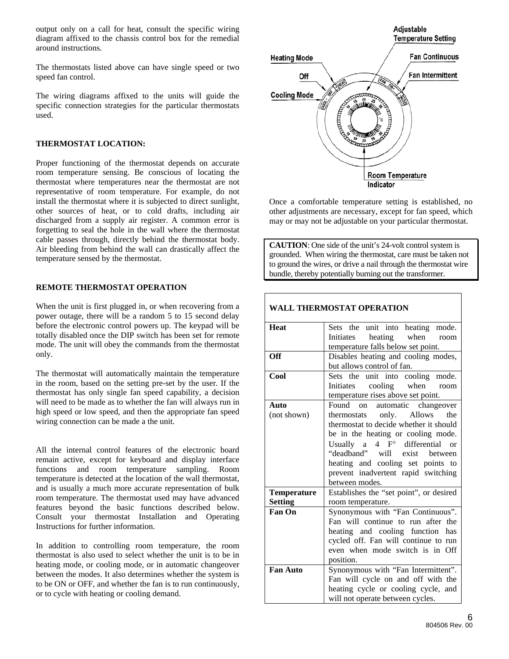output only on a call for heat, consult the specific wiring diagram affixed to the chassis control box for the remedial around instructions.

The thermostats listed above can have single speed or two speed fan control.

The wiring diagrams affixed to the units will guide the specific connection strategies for the particular thermostats used.

## **THERMOSTAT LOCATION:**

Proper functioning of the thermostat depends on accurate room temperature sensing. Be conscious of locating the thermostat where temperatures near the thermostat are not representative of room temperature. For example, do not install the thermostat where it is subjected to direct sunlight, other sources of heat, or to cold drafts, including air discharged from a supply air register. A common error is forgetting to seal the hole in the wall where the thermostat cable passes through, directly behind the thermostat body. Air bleeding from behind the wall can drastically affect the temperature sensed by the thermostat.

#### **REMOTE THERMOSTAT OPERATION**

When the unit is first plugged in, or when recovering from a power outage, there will be a random 5 to 15 second delay before the electronic control powers up. The keypad will be totally disabled once the DIP switch has been set for remote mode. The unit will obey the commands from the thermostat only.

The thermostat will automatically maintain the temperature in the room, based on the setting pre-set by the user. If the thermostat has only single fan speed capability, a decision will need to be made as to whether the fan will always run in high speed or low speed, and then the appropriate fan speed wiring connection can be made a the unit.

All the internal control features of the electronic board remain active, except for keyboard and display interface functions and room temperature sampling. Room temperature is detected at the location of the wall thermostat, and is usually a much more accurate representation of bulk room temperature. The thermostat used may have advanced features beyond the basic functions described below. Consult your thermostat Installation and Operating Instructions for further information.

In addition to controlling room temperature, the room thermostat is also used to select whether the unit is to be in heating mode, or cooling mode, or in automatic changeover between the modes. It also determines whether the system is to be ON or OFF, and whether the fan is to run continuously, or to cycle with heating or cooling demand.



Once a comfortable temperature setting is established, no other adjustments are necessary, except for fan speed, which may or may not be adjustable on your particular thermostat.

**CAUTION**: One side of the unit's 24-volt control system is grounded. When wiring the thermostat, care must be taken not to ground the wires, or drive a nail through the thermostat wire bundle, thereby potentially burning out the transformer.

| Sets the unit into heating mode.        |  |  |  |  |  |  |  |  |
|-----------------------------------------|--|--|--|--|--|--|--|--|
| when<br>heating<br>Initiates<br>room    |  |  |  |  |  |  |  |  |
| temperature falls below set point.      |  |  |  |  |  |  |  |  |
| Disables heating and cooling modes,     |  |  |  |  |  |  |  |  |
| but allows control of fan.              |  |  |  |  |  |  |  |  |
| Sets the unit into cooling mode.        |  |  |  |  |  |  |  |  |
| Initiates cooling when<br>room          |  |  |  |  |  |  |  |  |
| temperature rises above set point.      |  |  |  |  |  |  |  |  |
| automatic changeover<br>Found on        |  |  |  |  |  |  |  |  |
| only.<br>Allows<br>thermostats<br>the   |  |  |  |  |  |  |  |  |
| thermostat to decide whether it should  |  |  |  |  |  |  |  |  |
| be in the heating or cooling mode.      |  |  |  |  |  |  |  |  |
| 4 F° differential or<br>Usually a       |  |  |  |  |  |  |  |  |
| "deadband" will exist between           |  |  |  |  |  |  |  |  |
| heating and cooling set points to       |  |  |  |  |  |  |  |  |
| prevent inadvertent rapid switching     |  |  |  |  |  |  |  |  |
| between modes.                          |  |  |  |  |  |  |  |  |
| Establishes the "set point", or desired |  |  |  |  |  |  |  |  |
| room temperature.                       |  |  |  |  |  |  |  |  |
| Synonymous with "Fan Continuous".       |  |  |  |  |  |  |  |  |
| Fan will continue to run after the      |  |  |  |  |  |  |  |  |
| heating and cooling function has        |  |  |  |  |  |  |  |  |
| cycled off. Fan will continue to run    |  |  |  |  |  |  |  |  |
| even when mode switch is in Off         |  |  |  |  |  |  |  |  |
| position.                               |  |  |  |  |  |  |  |  |
| Synonymous with "Fan Intermittent".     |  |  |  |  |  |  |  |  |
| Fan will cycle on and off with the      |  |  |  |  |  |  |  |  |
| heating cycle or cooling cycle, and     |  |  |  |  |  |  |  |  |
| will not operate between cycles.        |  |  |  |  |  |  |  |  |
|                                         |  |  |  |  |  |  |  |  |

## **WALL THERMOSTAT OPERATION**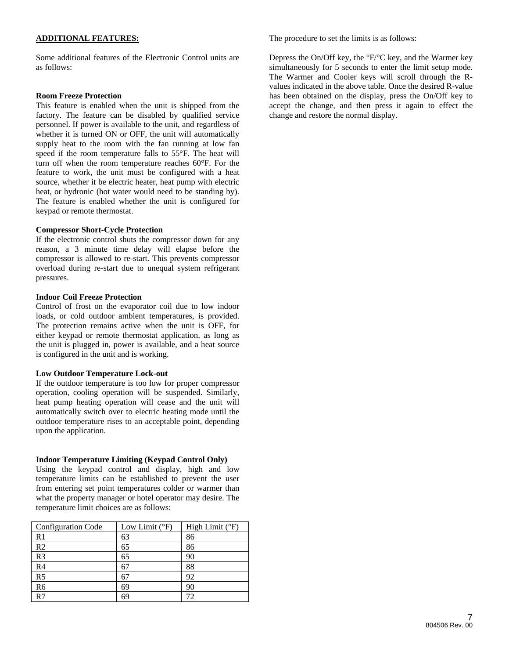## **ADDITIONAL FEATURES:**

Some additional features of the Electronic Control units are as follows:

#### **Room Freeze Protection**

This feature is enabled when the unit is shipped from the factory. The feature can be disabled by qualified service personnel. If power is available to the unit, and regardless of whether it is turned ON or OFF, the unit will automatically supply heat to the room with the fan running at low fan speed if the room temperature falls to 55°F. The heat will turn off when the room temperature reaches 60°F. For the feature to work, the unit must be configured with a heat source, whether it be electric heater, heat pump with electric heat, or hydronic (hot water would need to be standing by). The feature is enabled whether the unit is configured for keypad or remote thermostat.

## **Compressor Short-Cycle Protection**

If the electronic control shuts the compressor down for any reason, a 3 minute time delay will elapse before the compressor is allowed to re-start. This prevents compressor overload during re-start due to unequal system refrigerant pressures.

#### **Indoor Coil Freeze Protection**

Control of frost on the evaporator coil due to low indoor loads, or cold outdoor ambient temperatures, is provided. The protection remains active when the unit is OFF, for either keypad or remote thermostat application, as long as the unit is plugged in, power is available, and a heat source is configured in the unit and is working.

#### **Low Outdoor Temperature Lock-out**

If the outdoor temperature is too low for proper compressor operation, cooling operation will be suspended. Similarly, heat pump heating operation will cease and the unit will automatically switch over to electric heating mode until the outdoor temperature rises to an acceptable point, depending upon the application.

#### **Indoor Temperature Limiting (Keypad Control Only)**

Using the keypad control and display, high and low temperature limits can be established to prevent the user from entering set point temperatures colder or warmer than what the property manager or hotel operator may desire. The temperature limit choices are as follows:

| <b>Configuration Code</b> | Low Limit $(^{\circ}F)$ | High Limit $(^{\circ}F)$ |
|---------------------------|-------------------------|--------------------------|
| R <sub>1</sub>            | 63                      | 86                       |
| R <sub>2</sub>            | 65                      | 86                       |
| R <sub>3</sub>            | 65                      | 90                       |
| R <sub>4</sub>            | 67                      | 88                       |
| R <sub>5</sub>            | 67                      | 92                       |
| R <sub>6</sub>            | 69                      | 90                       |
| R <sub>7</sub>            | 69                      | 72                       |

The procedure to set the limits is as follows:

Depress the On/Off key, the °F/°C key, and the Warmer key simultaneously for 5 seconds to enter the limit setup mode. The Warmer and Cooler keys will scroll through the Rvalues indicated in the above table. Once the desired R-value has been obtained on the display, press the On/Off key to accept the change, and then press it again to effect the change and restore the normal display.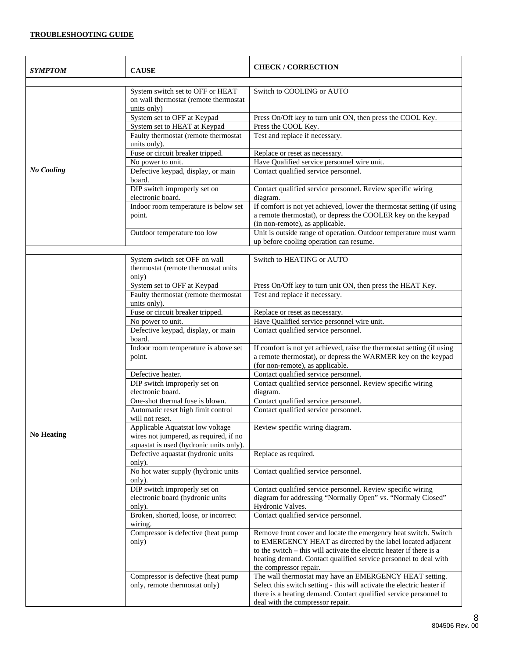# **TROUBLESHOOTING GUIDE**

| SYMPTOM           | <b>CAUSE</b>                                                                                                          | <b>CHECK/CORRECTION</b>                                                                                                                                                                                                                                                                              |  |  |  |  |  |
|-------------------|-----------------------------------------------------------------------------------------------------------------------|------------------------------------------------------------------------------------------------------------------------------------------------------------------------------------------------------------------------------------------------------------------------------------------------------|--|--|--|--|--|
|                   | System switch set to OFF or HEAT<br>on wall thermostat (remote thermostat<br>units only)                              | Switch to COOLING or AUTO                                                                                                                                                                                                                                                                            |  |  |  |  |  |
|                   | System set to OFF at Keypad                                                                                           | Press On/Off key to turn unit ON, then press the COOL Key.                                                                                                                                                                                                                                           |  |  |  |  |  |
|                   | System set to HEAT at Keypad                                                                                          | Press the COOL Key.                                                                                                                                                                                                                                                                                  |  |  |  |  |  |
|                   | Faulty thermostat (remote thermostat<br>units only).                                                                  | Test and replace if necessary.                                                                                                                                                                                                                                                                       |  |  |  |  |  |
|                   | Fuse or circuit breaker tripped.                                                                                      | Replace or reset as necessary.                                                                                                                                                                                                                                                                       |  |  |  |  |  |
|                   | No power to unit.                                                                                                     | Have Qualified service personnel wire unit.                                                                                                                                                                                                                                                          |  |  |  |  |  |
| <b>No Cooling</b> | Defective keypad, display, or main<br>board.                                                                          | Contact qualified service personnel.                                                                                                                                                                                                                                                                 |  |  |  |  |  |
|                   | DIP switch improperly set on<br>electronic board.                                                                     | Contact qualified service personnel. Review specific wiring<br>diagram.                                                                                                                                                                                                                              |  |  |  |  |  |
|                   | Indoor room temperature is below set<br>point.                                                                        | If comfort is not yet achieved, lower the thermostat setting (if using<br>a remote thermostat), or depress the COOLER key on the keypad<br>(in non-remote), as applicable.                                                                                                                           |  |  |  |  |  |
|                   | Outdoor temperature too low                                                                                           | Unit is outside range of operation. Outdoor temperature must warm<br>up before cooling operation can resume.                                                                                                                                                                                         |  |  |  |  |  |
|                   |                                                                                                                       |                                                                                                                                                                                                                                                                                                      |  |  |  |  |  |
|                   | System switch set OFF on wall<br>thermostat (remote thermostat units<br>only)                                         | Switch to HEATING or AUTO                                                                                                                                                                                                                                                                            |  |  |  |  |  |
|                   | System set to OFF at Keypad                                                                                           | Press On/Off key to turn unit ON, then press the HEAT Key.                                                                                                                                                                                                                                           |  |  |  |  |  |
|                   | Faulty thermostat (remote thermostat<br>units only).                                                                  | Test and replace if necessary.                                                                                                                                                                                                                                                                       |  |  |  |  |  |
|                   | Fuse or circuit breaker tripped.                                                                                      | Replace or reset as necessary.                                                                                                                                                                                                                                                                       |  |  |  |  |  |
|                   | No power to unit.                                                                                                     | Have Qualified service personnel wire unit.                                                                                                                                                                                                                                                          |  |  |  |  |  |
|                   | Defective keypad, display, or main<br>board.                                                                          | Contact qualified service personnel.                                                                                                                                                                                                                                                                 |  |  |  |  |  |
|                   | Indoor room temperature is above set<br>point.                                                                        | If comfort is not yet achieved, raise the thermostat setting (if using<br>a remote thermostat), or depress the WARMER key on the keypad<br>(for non-remote), as applicable.                                                                                                                          |  |  |  |  |  |
|                   | Defective heater.                                                                                                     | Contact qualified service personnel.                                                                                                                                                                                                                                                                 |  |  |  |  |  |
|                   | DIP switch improperly set on<br>electronic board.                                                                     | Contact qualified service personnel. Review specific wiring<br>diagram.                                                                                                                                                                                                                              |  |  |  |  |  |
|                   | One-shot thermal fuse is blown.                                                                                       | Contact qualified service personnel.                                                                                                                                                                                                                                                                 |  |  |  |  |  |
|                   | Automatic reset high limit control<br>will not reset.                                                                 | Contact qualified service personnel.                                                                                                                                                                                                                                                                 |  |  |  |  |  |
| <b>No Heating</b> | Applicable Aquatstat low voltage<br>wires not jumpered, as required, if no<br>aquastat is used (hydronic units only). | Review specific wiring diagram.                                                                                                                                                                                                                                                                      |  |  |  |  |  |
|                   | Defective aquastat (hydronic units<br>only).                                                                          | Replace as required.                                                                                                                                                                                                                                                                                 |  |  |  |  |  |
|                   | No hot water supply (hydronic units<br>only).                                                                         | Contact qualified service personnel.                                                                                                                                                                                                                                                                 |  |  |  |  |  |
|                   | DIP switch improperly set on<br>electronic board (hydronic units<br>only).                                            | Contact qualified service personnel. Review specific wiring<br>diagram for addressing "Normally Open" vs. "Normaly Closed"<br>Hydronic Valves.                                                                                                                                                       |  |  |  |  |  |
|                   | Broken, shorted, loose, or incorrect<br>wiring.                                                                       | Contact qualified service personnel.                                                                                                                                                                                                                                                                 |  |  |  |  |  |
|                   | Compressor is defective (heat pump<br>only)                                                                           | Remove front cover and locate the emergency heat switch. Switch<br>to EMERGENCY HEAT as directed by the label located adjacent<br>to the switch – this will activate the electric heater if there is a<br>heating demand. Contact qualified service personnel to deal with<br>the compressor repair. |  |  |  |  |  |
|                   | Compressor is defective (heat pump<br>only, remote thermostat only)                                                   | The wall thermostat may have an EMERGENCY HEAT setting.<br>Select this switch setting - this will activate the electric heater if<br>there is a heating demand. Contact qualified service personnel to<br>deal with the compressor repair.                                                           |  |  |  |  |  |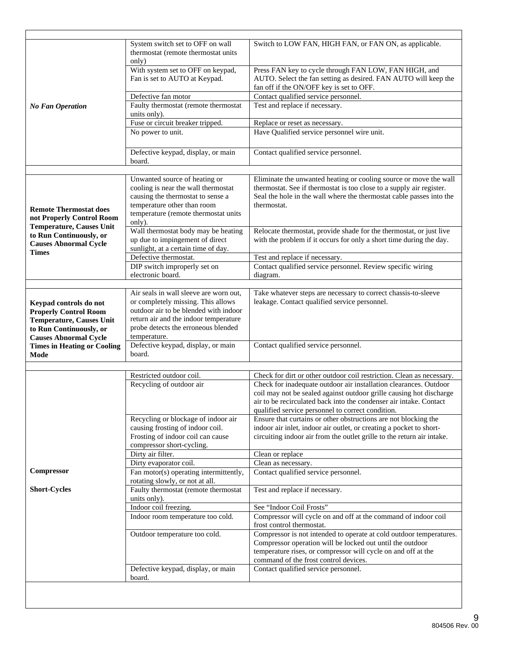|                                                            | System switch set to OFF on wall<br>thermostat (remote thermostat units<br>only)                          | Switch to LOW FAN, HIGH FAN, or FAN ON, as applicable.                                                                                                                                                            |  |  |  |  |  |
|------------------------------------------------------------|-----------------------------------------------------------------------------------------------------------|-------------------------------------------------------------------------------------------------------------------------------------------------------------------------------------------------------------------|--|--|--|--|--|
|                                                            | With system set to OFF on keypad,<br>Fan is set to AUTO at Keypad.                                        | Press FAN key to cycle through FAN LOW, FAN HIGH, and<br>AUTO. Select the fan setting as desired. FAN AUTO will keep the<br>fan off if the ON/OFF key is set to OFF.                                              |  |  |  |  |  |
|                                                            | Defective fan motor                                                                                       | Contact qualified service personnel.                                                                                                                                                                              |  |  |  |  |  |
| <b>No Fan Operation</b>                                    | Faulty thermostat (remote thermostat<br>units only).                                                      | Test and replace if necessary.                                                                                                                                                                                    |  |  |  |  |  |
|                                                            | Fuse or circuit breaker tripped.                                                                          | Replace or reset as necessary.                                                                                                                                                                                    |  |  |  |  |  |
|                                                            | No power to unit.                                                                                         | Have Qualified service personnel wire unit.                                                                                                                                                                       |  |  |  |  |  |
|                                                            | Defective keypad, display, or main<br>board.                                                              | Contact qualified service personnel.                                                                                                                                                                              |  |  |  |  |  |
|                                                            |                                                                                                           |                                                                                                                                                                                                                   |  |  |  |  |  |
|                                                            | Unwanted source of heating or<br>cooling is near the wall thermostat<br>causing the thermostat to sense a | Eliminate the unwanted heating or cooling source or move the wall<br>thermostat. See if thermostat is too close to a supply air register.<br>Seal the hole in the wall where the thermostat cable passes into the |  |  |  |  |  |
| <b>Remote Thermostat does</b><br>not Properly Control Room | temperature other than room<br>temperature (remote thermostat units<br>only).                             | thermostat.                                                                                                                                                                                                       |  |  |  |  |  |
| <b>Temperature, Causes Unit</b>                            | Wall thermostat body may be heating                                                                       | Relocate thermostat, provide shade for the thermostat, or just live                                                                                                                                               |  |  |  |  |  |
| to Run Continuously, or<br><b>Causes Abnormal Cycle</b>    | up due to impingement of direct<br>sunlight, at a certain time of day.                                    | with the problem if it occurs for only a short time during the day.                                                                                                                                               |  |  |  |  |  |
| <b>Times</b>                                               | Defective thermostat.                                                                                     | Test and replace if necessary.                                                                                                                                                                                    |  |  |  |  |  |
|                                                            | DIP switch improperly set on                                                                              | Contact qualified service personnel. Review specific wiring                                                                                                                                                       |  |  |  |  |  |
|                                                            | electronic board.                                                                                         | diagram.                                                                                                                                                                                                          |  |  |  |  |  |
|                                                            | Air seals in wall sleeve are worn out,                                                                    | Take whatever steps are necessary to correct chassis-to-sleeve                                                                                                                                                    |  |  |  |  |  |
| Keypad controls do not                                     | or completely missing. This allows                                                                        | leakage. Contact qualified service personnel.                                                                                                                                                                     |  |  |  |  |  |
| <b>Properly Control Room</b>                               | outdoor air to be blended with indoor                                                                     |                                                                                                                                                                                                                   |  |  |  |  |  |
| <b>Temperature, Causes Unit</b>                            | return air and the indoor temperature<br>probe detects the erroneous blended                              |                                                                                                                                                                                                                   |  |  |  |  |  |
| to Run Continuously, or<br><b>Causes Abnormal Cycle</b>    | temperature.                                                                                              |                                                                                                                                                                                                                   |  |  |  |  |  |
| <b>Times in Heating or Cooling</b>                         | Defective keypad, display, or main                                                                        | Contact qualified service personnel.                                                                                                                                                                              |  |  |  |  |  |
| Mode                                                       | board.                                                                                                    |                                                                                                                                                                                                                   |  |  |  |  |  |
|                                                            | Restricted outdoor coil.                                                                                  | Check for dirt or other outdoor coil restriction. Clean as necessary.                                                                                                                                             |  |  |  |  |  |
|                                                            | Recycling of outdoor air                                                                                  | Check for inadequate outdoor air installation clearances. Outdoor                                                                                                                                                 |  |  |  |  |  |
|                                                            |                                                                                                           | coil may not be sealed against outdoor grille causing hot discharge<br>air to be recirculated back into the condenser air intake. Contact<br>qualified service personnel to correct condition.                    |  |  |  |  |  |
|                                                            | Recycling or blockage of indoor air                                                                       | Ensure that curtains or other obstructions are not blocking the                                                                                                                                                   |  |  |  |  |  |
|                                                            | causing frosting of indoor coil.<br>Frosting of indoor coil can cause<br>compressor short-cycling.        | indoor air inlet, indoor air outlet, or creating a pocket to short-<br>circuiting indoor air from the outlet grille to the return air intake.                                                                     |  |  |  |  |  |
|                                                            | Dirty air filter.                                                                                         | Clean or replace                                                                                                                                                                                                  |  |  |  |  |  |
|                                                            | Dirty evaporator coil.                                                                                    | Clean as necessary.                                                                                                                                                                                               |  |  |  |  |  |
| Compressor                                                 | Fan motor(s) operating intermittently,<br>rotating slowly, or not at all.                                 | Contact qualified service personnel.                                                                                                                                                                              |  |  |  |  |  |
| <b>Short-Cycles</b>                                        | Faulty thermostat (remote thermostat<br>units only).                                                      | Test and replace if necessary.                                                                                                                                                                                    |  |  |  |  |  |
|                                                            | Indoor coil freezing.                                                                                     | See "Indoor Coil Frosts"                                                                                                                                                                                          |  |  |  |  |  |
|                                                            | Indoor room temperature too cold.                                                                         | Compressor will cycle on and off at the command of indoor coil<br>frost control thermostat.                                                                                                                       |  |  |  |  |  |
|                                                            | Outdoor temperature too cold.                                                                             | Compressor is not intended to operate at cold outdoor temperatures.                                                                                                                                               |  |  |  |  |  |
|                                                            |                                                                                                           | Compressor operation will be locked out until the outdoor<br>temperature rises, or compressor will cycle on and off at the<br>command of the frost control devices.                                               |  |  |  |  |  |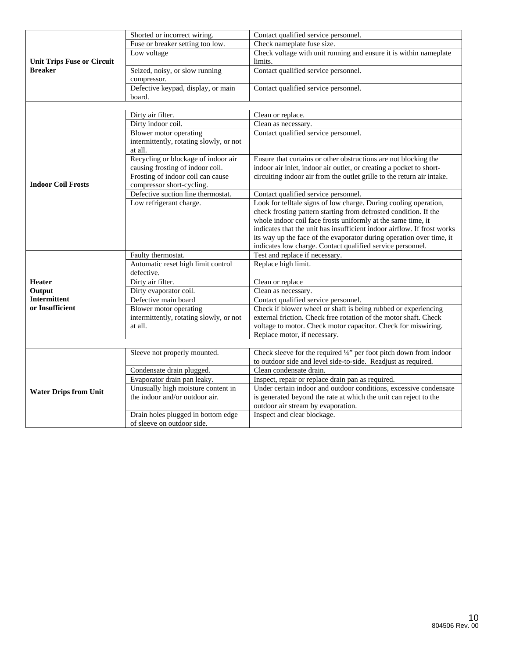|                                   | Shorted or incorrect wiring.                                                 | Contact qualified service personnel.                                                                                                    |  |  |  |  |  |
|-----------------------------------|------------------------------------------------------------------------------|-----------------------------------------------------------------------------------------------------------------------------------------|--|--|--|--|--|
|                                   | Fuse or breaker setting too low.                                             | Check nameplate fuse size.                                                                                                              |  |  |  |  |  |
| <b>Unit Trips Fuse or Circuit</b> | Low voltage                                                                  | Check voltage with unit running and ensure it is within nameplate<br>limits.                                                            |  |  |  |  |  |
| <b>Breaker</b>                    | Seized, noisy, or slow running                                               | Contact qualified service personnel.                                                                                                    |  |  |  |  |  |
|                                   | compressor.                                                                  |                                                                                                                                         |  |  |  |  |  |
|                                   | Defective keypad, display, or main                                           | Contact qualified service personnel.                                                                                                    |  |  |  |  |  |
|                                   | board.                                                                       |                                                                                                                                         |  |  |  |  |  |
|                                   |                                                                              |                                                                                                                                         |  |  |  |  |  |
|                                   | Dirty air filter.                                                            | Clean or replace.                                                                                                                       |  |  |  |  |  |
|                                   | Dirty indoor coil.                                                           | Clean as necessary.                                                                                                                     |  |  |  |  |  |
|                                   | Blower motor operating<br>intermittently, rotating slowly, or not<br>at all. | Contact qualified service personnel.                                                                                                    |  |  |  |  |  |
|                                   | Recycling or blockage of indoor air                                          | Ensure that curtains or other obstructions are not blocking the                                                                         |  |  |  |  |  |
|                                   | causing frosting of indoor coil.                                             | indoor air inlet, indoor air outlet, or creating a pocket to short-                                                                     |  |  |  |  |  |
|                                   | Frosting of indoor coil can cause                                            | circuiting indoor air from the outlet grille to the return air intake.                                                                  |  |  |  |  |  |
| <b>Indoor Coil Frosts</b>         | compressor short-cycling.                                                    |                                                                                                                                         |  |  |  |  |  |
|                                   | Defective suction line thermostat.                                           | Contact qualified service personnel.                                                                                                    |  |  |  |  |  |
|                                   | Low refrigerant charge.                                                      | Look for telltale signs of low charge. During cooling operation,                                                                        |  |  |  |  |  |
|                                   |                                                                              | check frosting pattern starting from defrosted condition. If the                                                                        |  |  |  |  |  |
|                                   |                                                                              | whole indoor coil face frosts uniformly at the same time, it<br>indicates that the unit has insufficient indoor airflow. If frost works |  |  |  |  |  |
|                                   |                                                                              | its way up the face of the evaporator during operation over time, it                                                                    |  |  |  |  |  |
|                                   |                                                                              | indicates low charge. Contact qualified service personnel.                                                                              |  |  |  |  |  |
|                                   | Faulty thermostat.                                                           | Test and replace if necessary.                                                                                                          |  |  |  |  |  |
|                                   | Automatic reset high limit control                                           | Replace high limit.                                                                                                                     |  |  |  |  |  |
|                                   | defective.                                                                   |                                                                                                                                         |  |  |  |  |  |
| <b>Heater</b>                     | Dirty air filter.                                                            | Clean or replace                                                                                                                        |  |  |  |  |  |
| Output                            | Dirty evaporator coil.                                                       | Clean as necessary.                                                                                                                     |  |  |  |  |  |
| <b>Intermittent</b>               | Defective main board                                                         | Contact qualified service personnel.                                                                                                    |  |  |  |  |  |
| or Insufficient                   | Blower motor operating                                                       | Check if blower wheel or shaft is being rubbed or experiencing                                                                          |  |  |  |  |  |
|                                   | intermittently, rotating slowly, or not                                      | external friction. Check free rotation of the motor shaft. Check                                                                        |  |  |  |  |  |
|                                   | at all.                                                                      | voltage to motor. Check motor capacitor. Check for miswiring.                                                                           |  |  |  |  |  |
|                                   |                                                                              | Replace motor, if necessary.                                                                                                            |  |  |  |  |  |
|                                   | Sleeve not properly mounted.                                                 | Check sleeve for the required $\frac{1}{4}$ " per foot pitch down from indoor                                                           |  |  |  |  |  |
|                                   |                                                                              | to outdoor side and level side-to-side. Readjust as required.                                                                           |  |  |  |  |  |
|                                   | Condensate drain plugged.                                                    | Clean condensate drain.                                                                                                                 |  |  |  |  |  |
|                                   | Evaporator drain pan leaky.                                                  | Inspect, repair or replace drain pan as required.                                                                                       |  |  |  |  |  |
| <b>Water Drips from Unit</b>      | Unusually high moisture content in                                           | Under certain indoor and outdoor conditions, excessive condensate                                                                       |  |  |  |  |  |
|                                   | the indoor and/or outdoor air.                                               | is generated beyond the rate at which the unit can reject to the                                                                        |  |  |  |  |  |
|                                   |                                                                              | outdoor air stream by evaporation.                                                                                                      |  |  |  |  |  |
|                                   | Drain holes plugged in bottom edge<br>of sleeve on outdoor side.             | Inspect and clear blockage.                                                                                                             |  |  |  |  |  |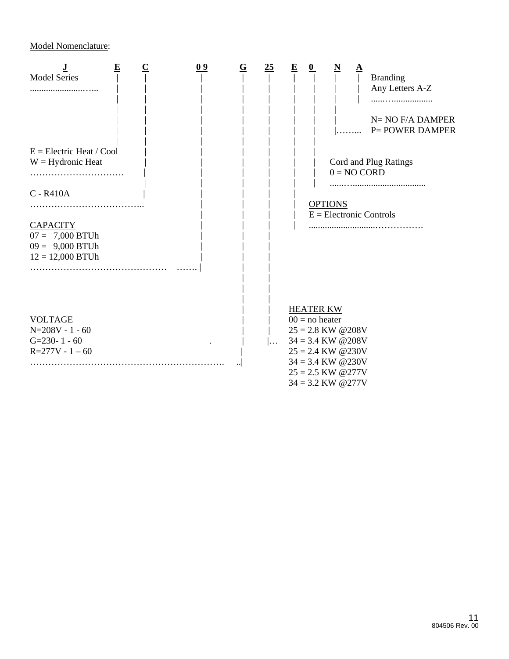Model Nomenclature:

| <b>Model Series</b><br>$E =$ Electric Heat / Cool<br>$W = Hydronic Heat$<br>C - R410A<br><b>CAPACITY</b><br>$07 = 7,000$ BTUh | $\overline{\mathbf{E}}$ | 09 | $\underline{\mathbf{G}}$ | $\overline{25}$ | $\overline{\mathbf{E}}$ | 0 | N<br>$0 = NO CORD$<br><b>OPTIONS</b> | <u>A</u> | <b>Branding</b><br>Any Letters A-Z<br>$N=NO$ $F/A$ DAMPER<br><b>P= POWER DAMPER</b><br>Cord and Plug Ratings<br>$E =$ Electronic Controls |
|-------------------------------------------------------------------------------------------------------------------------------|-------------------------|----|--------------------------|-----------------|-------------------------|---|--------------------------------------|----------|-------------------------------------------------------------------------------------------------------------------------------------------|
| $09 = 9,000$ BTUh<br>$12 = 12,000$ BTUh                                                                                       |                         |    |                          |                 |                         |   |                                      |          |                                                                                                                                           |
|                                                                                                                               |                         |    |                          |                 |                         |   | <b>HEATER KW</b>                     |          |                                                                                                                                           |
| <b>VOLTAGE</b>                                                                                                                |                         |    |                          |                 |                         |   | $00 =$ no heater                     |          |                                                                                                                                           |
| $N=208V - 1 - 60$                                                                                                             |                         |    |                          |                 |                         |   | $25 = 2.8$ KW @208V                  |          |                                                                                                                                           |
| $G=230-1-60$                                                                                                                  |                         |    |                          |                 |                         |   | $34 = 3.4$ KW @208V                  |          |                                                                                                                                           |
| $R=277V - 1 - 60$                                                                                                             |                         |    |                          |                 |                         |   | $25 = 2.4$ KW @230V                  |          |                                                                                                                                           |
|                                                                                                                               |                         |    |                          |                 |                         |   | $34 = 3.4$ KW @230V                  |          |                                                                                                                                           |
|                                                                                                                               |                         |    |                          |                 |                         |   | $25 = 2.5$ KW @277V                  |          |                                                                                                                                           |
|                                                                                                                               |                         |    |                          |                 |                         |   | $34 = 3.2$ KW @277V                  |          |                                                                                                                                           |